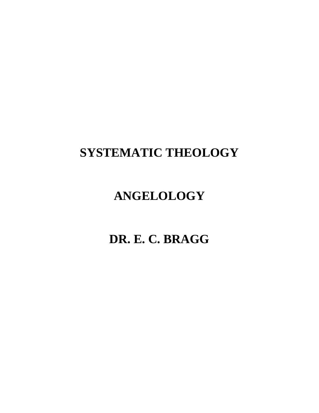# **SYSTEMATIC THEOLOGY**

# **ANGELOLOGY**

**DR. E. C. BRAGG**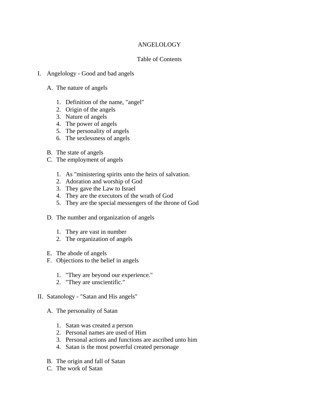## ANGELOLOGY

## Table of Contents

- I. Angelology Good and bad angels
	- A. The nature of angels
		- 1. Definition of the name, "angel"
		- 2. Origin of the angels
		- 3. Nature of angels
		- 4. The power of angels
		- 5. The personality of angels
		- 6. The sexlessness of angels
	- B. The state of angels
	- C. The employment of angels
		- 1. As "ministering spirits unto the heirs of salvation.
		- 2. Adoration and worship of God
		- 3. They gave the Law to Israel
		- 4. They are the executors of the wrath of God
		- 5. They are the special messengers of the throne of God
	- D. The number and organization of angels
		- 1. They are vast in number
		- 2. The organization of angels
	- E. The abode of angels
	- F. Objections to the belief in angels
		- 1. "They are beyond our experience."
		- 2. "They are unscientific."
- II. Satanology "Satan and His angels"
	- A. The personality of Satan
		- 1. Satan was created a person
		- 2. Personal names are used of Him
		- 3. Personal actions and functions are ascribed unto him
		- 4. Satan is the most powerful created personage
	- B. The origin and fall of Satan
	- C. The work of Satan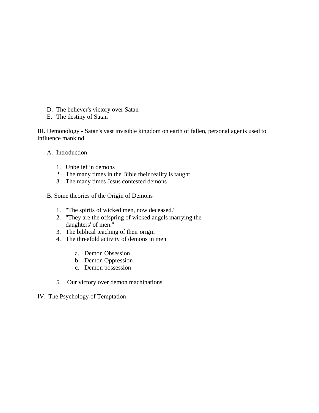- D. The believer's victory over Satan
- E. The destiny of Satan

III. Demonology - Satan's vast invisible kingdom on earth of fallen, personal agents used to influence mankind.

- A. Introduction
	- 1. Unbelief in demons
	- 2. The many times in the Bible their reality is taught
	- 3. The many times Jesus contested demons
- B. Some theories of the Origin of Demons
	- 1. "The spirits of wicked men, now deceased."
	- 2. "They are the offspring of wicked angels marrying the daughters' of men."
	- 3. The biblical teaching of their origin
	- 4. The threefold activity of demons in men
		- a. Demon Obsession
		- b. Demon Oppression
		- c. Demon possession
	- 5. Our victory over demon machinations
- IV. The Psychology of Temptation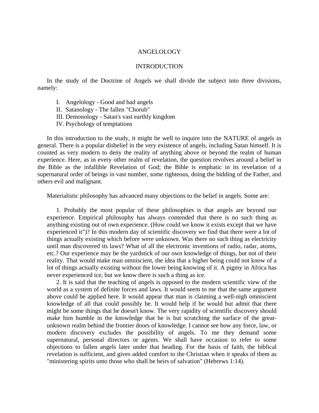#### ANGELOLOGY

### INTRODUCTION

 In the study of the Doctrine of Angels we shall divide the subject into three divisions, namely:

- I. Angelology Good and bad angels
- II. Satanology The fallen "Chorub"
- III. Demonology Satan's vast earthly kingdom
- IV. Psychology of temptations

 In this introduction to the study, it might be well to inquire into the NATURE of angels in general. There is a popular disbelief in the very existence of angels, including Satan himself. It is counted as very modern to deny the reality of anything above or beyond the realm of human experience. Here, as in every other realm of revelation, the question revolves around a belief in the Bible as the infallible Revelation of God; the Bible is emphatic in its revelation of a supernatural order of beings in vast number, some righteous, doing the bidding of the Father, and others evil and malignant.

Materialistic philosophy has advanced many objections to the belief in angels. Some are:

 1. Probably the most popular of these philosophies is that angels are beyond our experience. Empirical philosophy has always contended that there is no such thing as anything existing out of own experience. (How could we know it exists except that we have experienced it")? In this modern day of scientific discovery we find that there were a lot of things actually existing which before were unknown. Was there no such thing as electricity until man discovered its laws? What of all the electronic inventions of radio, radar, atoms, etc.? Our experience may be the yardstick of our own knowledge of things, but not of their reality. That would make man omniscient, the idea that a higher being could not know of a lot of things actually existing without the lower being knowing of it. A pigmy in Africa has never experienced ice, but we know there is such a thing as ice.

 2. It is said that the teaching of angels is opposed to the modern scientific view of the world as a system of definite forces and laws. It would seem to me that the same argument above could be applied here. It would appear that man is claiming a well-nigh omniscient knowledge of all that could possibly be. It would help if he would but admit that there might be some things that he doesn't know. The very rapidity of scientific discovery should make him humble in the knowledge that he is but scratching the surface of the greatunknown realm behind the frontier doors of knowledge. I cannot see how any force, law, or modern discovery excludes the possibility of angels. To me they demand some supernatural, personal directors or agents. We shall have occasion to refer to some objections to fallen angels later under that heading. For the basis of faith, the biblical revelation is sufficient, and gives added comfort to the Christian when it speaks of them as "ministering spirits unto those who shall be heirs of salvation" (Hebrews 1:14).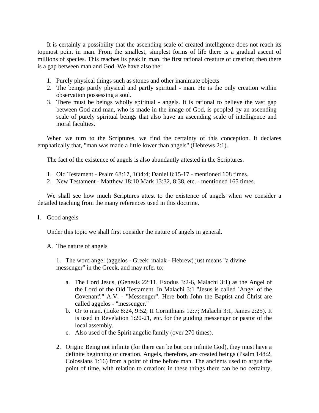It is certainly a possibility that the ascending scale of created intelligence does not reach its topmost point in man. From the smallest, simplest forms of life there is a gradual ascent of millions of species. This reaches its peak in man, the first rational creature of creation; then there is a gap between man and God. We have also the:

- 1. Purely physical things such as stones and other inanimate objects
- 2. The beings partly physical and partly spiritual man. He is the only creation within observation possessing a soul.
- 3. There must be beings wholly spiritual angels. It is rational to believe the vast gap between God and man, who is made in the image of God, is peopled by an ascending scale of purely spiritual beings that also have an ascending scale of intelligence and moral faculties.

 When we turn to the Scriptures, we find the certainty of this conception. It declares emphatically that, "man was made a little lower than angels" (Hebrews 2:1).

The fact of the existence of angels is also abundantly attested in the Scriptures.

- 1. Old Testament Psalm 68:17, 1O4:4; Daniel 8:15-17 mentioned 108 times.
- 2. New Testament Matthew 18:10 Mark 13:32, 8:38, etc. mentioned 165 times.

 We shall see how much Scriptures attest to the existence of angels when we consider a detailed teaching from the many references used in this doctrine.

I. Good angels

Under this topic we shall first consider the nature of angels in general.

A. The nature of angels

 1. The word angel (aggelos - Greek: malak - Hebrew) just means "a divine messenger" in the Greek, and may refer to:

- a. The Lord Jesus, (Genesis 22:11, Exodus 3:2-6, Malachi 3:1) as the Angel of the Lord of the Old Testament. In Malachi 3:1 "Jesus is called `Angel of the Covenant'." A.V. - "Messenger". Here both John the Baptist and Christ are called aggelos - "messenger."
- b. Or to man. (Luke 8:24, 9:52; II Corinthians 12:7; Malachi 3:1, James 2:25). It is used in Revelation 1:20-21, etc. for the guiding messenger or pastor of the local assembly.
- c. Also used of the Spirit angelic family (over 270 times).
- 2. Origin: Being not infinite (for there can be but one infinite God), they must have a definite beginning or creation. Angels, therefore, are created beings (Psalm 148:2, Colossians 1:16) from a point of time before man. The ancients used to argue the point of time, with relation to creation; in these things there can be no certainty,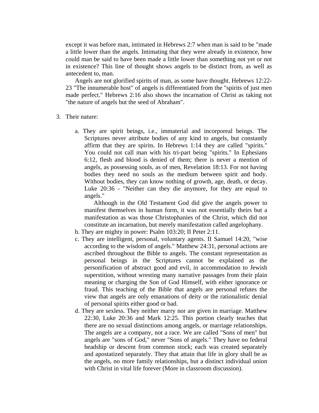except it was before man, intimated in Hebrews 2:7 when man is said to be "made a little lower than the angels. Intimating that they were already in existence, how could man be said to have been made a little lower than something not yet or not in existence? This line of thought shows angels to be distinct from, as well as antecedent to, man.

 Angels are not glorified spirits of man, as some have thought. Hebrews 12:22- 23 "The innumerable host" of angels is differentiated from the "spirits of just men made perfect." Hebrews 2:16 also shows the incarnation of Christ as taking not "the nature of angels but the seed of Abraham".

- 3. Their nature:
	- a. They are spirit beings, i.e., immaterial and incorporeal beings. The Scriptures never attribute bodies of any kind to angels, but constantly affirm that they are spirits. In Hebrews 1:14 they are called "spirits." You could not call man with his tri-part being "spirits." In Ephesians 6:12, flesh and blood is denied of them; there is never a mention of angels, as possessing souls, as of men, Revelation 18:13. For not having bodies they need no souls as the medium between spirit and body. Without bodies, they can know nothing of growth, age, death, or decay. Luke 20:36 - "Neither can they die anymore, for they are equal to angels."

Although in the Old Testament God did give the angels power to manifest themselves in human form, it was not essentially theirs but a manifestation as was those Christophanies of the Christ, which did not constitute an incarnation, but merely manifestation called angelophany.

- b. They are mighty in power: Psalm 103:20; II Peter 2:11.
- c. They are intelligent, personal, voluntary agents. II Samuel 14:20, "wise according to the wisdom of angels." Matthew 24:31, personal actions are ascribed throughout the Bible to angels. The constant representation as personal beings in the Scriptures cannot be explained as the personification of abstract good and evil, in accommodation to Jewish superstition, without wresting many narrative passages from their plain meaning or charging the Son of God Himself, with either ignorance or fraud. This teaching of the Bible that angels are personal refutes the view that angels are only emanations of deity or the rationalistic denial of personal spirits either good or bad.
- d. They are sexless. They neither marry nor are given in marriage. Matthew 22:30, Luke 20:36 and Mark 12:25. This portion clearly teaches that there are no sexual distinctions among angels, or marriage relationships. The angels are a company, not a race. We are called "Sons of men" but angels are "sons of God," never "Sons of angels." They have no federal headship or descent from common stock; each was created separately and apostatized separately. They that attain that life in glory shall be as the angels, no more family relationships, but a distinct individual union with Christ in vital life forever (More in classroom discussion).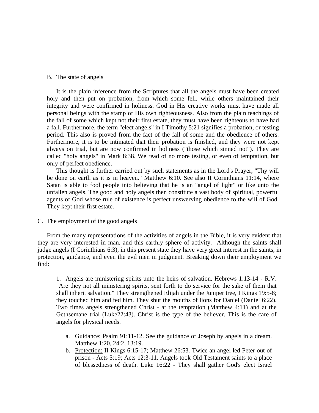### B. The state of angels

 It is the plain inference from the Scriptures that all the angels must have been created holy and then put on probation, from which some fell, while others maintained their integrity and were confirmed in holiness. God in His creative works must have made all personal beings with the stamp of His own righteousness. Also from the plain teachings of the fall of some which kept not their first estate, they must have been righteous to have had a fall. Furthermore, the term "elect angels" in I Timothy 5:21 signifies a probation, or testing period. This also is proved from the fact of the fall of some and the obedience of others. Furthermore, it is to be intimated that their probation is finished, and they were not kept always on trial, but are now confirmed in holiness ("those which sinned not"). They are called "holy angels" in Mark 8:38. We read of no more testing, or even of temptation, but only of perfect obedience.

 This thought is further carried out by such statements as in the Lord's Prayer, "Thy will be done on earth as it is in heaven." Matthew 6:10. See also II Corinthians 11:14, where Satan is able to fool people into believing that he is an "angel of light" or like unto the unfallen angels. The good and holy angels then constitute a vast body of spiritual, powerful agents of God whose rule of existence is perfect unswerving obedience to the will of God. They kept their first estate.

C. The employment of the good angels

 From the many representations of the activities of angels in the Bible, it is very evident that they are very interested in man, and this earthly sphere of activity. Although the saints shall judge angels (I Corinthians 6:3), in this present state they have very great interest in the saints, in protection, guidance, and even the evil men in judgment. Breaking down their employment we find:

 1. Angels are ministering spirits unto the heirs of salvation. Hebrews 1:13-14 - R.V. "Are they not all ministering spirits, sent forth to do service for the sake of them that shall inherit salvation." They strengthened Elijah under the Juniper tree, I Kings 19:5-8; they touched him and fed him. They shut the mouths of lions for Daniel (Daniel 6:22). Two times angels strengthened Christ - at the temptation (Matthew 4:11) and at the Gethsemane trial (Luke22:43). Christ is the type of the believer. This is the care of angels for physical needs.

- a. Guidance: Psalm 91:11-12. See the guidance of Joseph by angels in a dream. Matthew 1:20, 24:2, 13:19.
- b. Protection: II Kings 6:15-17; Matthew 26:53. Twice an angel led Peter out of prison - Acts 5:19; Acts 12:3-11. Angels took Old Testament saints to a place of blessedness of death. Luke 16:22 - They shall gather God's elect Israel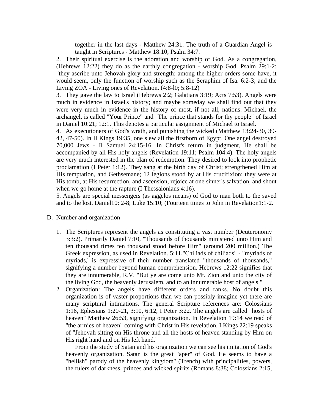together in the last days - Matthew 24:31. The truth of a Guardian Angel is taught in Scriptures - Matthew 18:10; Psalm 34:7.

2. Their spiritual exercise is the adoration and worship of God. As a congregation, (Hebrews 12:22) they do as the earthly congregation - worship God. Psalm 29:1-2: "they ascribe unto Jehovah glory and strength; among the higher orders some have, it would seem, only the function of worship such as the Seraphim of Isa. 6:2-3; and the Living ZOA - Living ones of Revelation. (4:8-l0; 5:8-12)

3. They gave the law to Israel (Hebrews 2:2; Galatians 3:19; Acts 7:53). Angels were much in evidence in Israel's history; and maybe someday we shall find out that they were very much in evidence in the history of most, if not all, nations. Michael, the archangel, is called "Your Prince" and "The prince that stands for thy people" of Israel in Daniel 10:21; 12:1. This denotes a particular assignment of Michael to Israel.

4. As executioners of God's wrath, and punishing the wicked (Matthew 13:24-30, 39- 42, 47-50). In II Kings 19:35, one slew all the firstborn of Egypt. One angel destroyed 70,000 Jews - Il Samuel 24:15-16. In Christ's return in judgment, He shall be accompanied by all His holy angels (Revelation 19:11; Psalm 104:4). The holy angels are very much interested in the plan of redemption. They desired to look into prophetic proclamation (I Peter 1:12). They sang at the birth day of Christ; strengthened Him at His temptation, and Gethsemane; 12 legions stood by at His crucifixion; they were at His tomb, at His resurrection, and ascension, rejoice at one sinner's salvation, and shout when we go home at the rapture (I Thessalonians 4:16).

5. Angels are special messengers (as aggelos means) of God to man both to the saved and to the lost. Daniel10: 2-8; Luke 15:10; (Fourteen times to John in Revelation1:1-2.

- D. Number and organization
	- 1. The Scriptures represent the angels as constituting a vast number (Deuteronomy 3:3:2). Primarily Daniel 7:10, "Thousands of thousands ministered unto Him and ten thousand times ten thousand stood before Him" (around 200 million.) The Greek expression, as used in Revelation. 5:11,"Chiliads of chiliads" - "myriads of myriads,' is expressive of their number translated "thousands of thousands," signifying a number beyond human comprehension. Hebrews 12:22 signifies that they are innumerable, R.V. "But ye are come unto Mt. Zion and unto the city of the living God, the heavenly Jerusalem, and to an innumerable host of angels."
	- 2. Organization: The angels have different orders and ranks. No doubt this organization is of vaster proportions than we can possibly imagine yet there are many scriptural intimations. The general Scripture references are: Colossians 1:16, Ephesians 1:20-21, 3:10, 6:12, I Peter 3:22. The angels are called "hosts of heaven" Matthew 26:53, signifying organization. In Revelation 19:14 we read of "the armies of heaven" coming with Christ in His revelation. I Kings 22:19 speaks of "Jehovah sitting on His throne and all the hosts of heaven standing by Him on His right hand and on His left hand."

 From the study of Satan and his organization we can see his imitation of God's heavenly organization. Satan is the great "aper" of God. He seems to have a "hellish" parody of the heavenly kingdom" (Trench) with principalities, powers, the rulers of darkness, princes and wicked spirits (Romans 8:38; Colossians 2:15,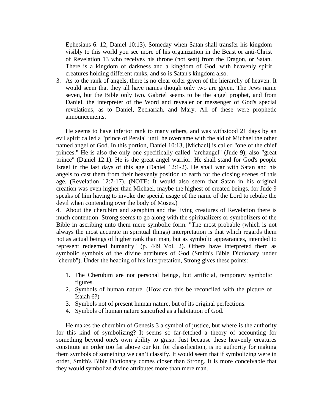Ephesians 6: 12, Daniel 10:13). Someday when Satan shall transfer his kingdom visibly to this world you see more of his organization in the Beast or anti-Christ of Revelation 13 who receives his throne (not seat) from the Dragon, or Satan. There is a kingdom of darkness and a kingdom of God, with heavenly spirit creatures holding different ranks, and so is Satan's kingdom also.

3. As to the rank of angels, there is no clear order given of the hierarchy of heaven. It would seem that they all have names though only two are given. The Jews name seven, but the Bible only two. Gabriel seems to be the angel prophet, and from Daniel, the interpreter of the Word and revealer or messenger of God's special revelations, as to Daniel, Zechariah, and Mary. All of these were prophetic announcements.

 He seems to have inferior rank to many others, and was withstood 21 days by an evil spirit called a "prince of Persia" until he overcame with the aid of Michael the other named angel of God. In this portion, Daniel 10:13, [Michael] is called "one of the chief princes." He is also the only one specifically called "archangel" (Jude 9); also "great prince" (Daniel 12:1). He is the great angel warrior. He shall stand for God's people Israel in the last days of this age (Daniel 12:1-2). He shall war with Satan and his angels to cast them from their heavenly position to earth for the closing scenes of this age. (Revelation 12:7-17). (NOTE: It would also seem that Satan in his original creation was even higher than Michael, maybe the highest of created beings, for Jude 9 speaks of him having to invoke the special usage of the name of the Lord to rebuke the devil when contending over the body of Moses.)

4. About the cherubim and seraphim and the living creatures of Revelation there is much contention. Strong seems to go along with the spiritualizers or symbolizers of the Bible in ascribing unto them mere symbolic form. "The most probable (which is not always the most accurate in spiritual things) interpretation is that which regards them not as actual beings of higher rank than man, but as symbolic appearances, intended to represent redeemed humanity" (p. 449 Vol. 2). Others have interpreted them as symbolic symbols of the divine attributes of God (Smith's Bible Dictionary under "cherub"). Under the heading of his interpretation, Strong gives these points:

- 1. The Cherubim are not personal beings, but artificial, temporary symbolic figures.
- 2. Symbols of human nature. (How can this be reconciled with the picture of Isaiah 6?)
- 3. Symbols not of present human nature, but of its original perfections.
- 4. Symbols of human nature sanctified as a habitation of God.

 He makes the cherubim of Genesis 3 a symbol of justice, but where is the authority for this kind of symbolizing? It seems so far-fetched a theory of accounting for something beyond one's own ability to grasp. Just because these heavenly creatures constitute an order too far above our kin for classification, is no authority for making them symbols of something we can't classify. It would seem that if symbolizing were in order, Smith's Bible Dictionary comes closer than Strong. It is more conceivable that they would symbolize divine attributes more than mere man.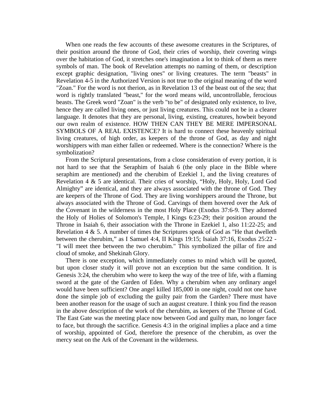When one reads the few accounts of these awesome creatures in the Scriptures, of their position around the throne of God, their cries of worship, their covering wings over the habitation of God, it stretches one's imagination a lot to think of them as mere symbols of man. The book of Revelation attempts no naming of them, or description except graphic designation, "living ones" or living creatures. The term "beasts" in Revelation 4-5 in the Authorized Version is not true to the original meaning of the word "Zoan." For the word is not therion, as in Revelation 13 of the beast out of the sea; that word is rightly translated "beast," for the word means wild, uncontrollable, ferocious beasts. The Greek word "Zoan" is the verb "to be" of designated only existence, to live, hence they are called living ones, or just living creatures. This could not be in a clearer language. It denotes that they are personal, living, existing, creatures, howbeit beyond our own realm of existence. HOW THEN CAN THEY BE MERE IMPERSONAL SYMBOLS OF A REAL EXISTENCE? It is hard to connect these heavenly spiritual living creatures, of high order, as keepers of the throne of God, as day and night worshippers with man either fallen or redeemed. Where is the connection? Where is the symbolization?

 From the Scriptural presentations, from a close consideration of every portion, it is not hard to see that the Seraphim of Isaiah 6 (the only place in the Bible where seraphim are mentioned) and the cherubim of Ezekiel 1, and the living creatures of Revelation 4 & 5 are identical. Their cries of worship, "Holy, Holy, Holy, Lord God Almighty" are identical, and they are always associated with the throne of God. They are keepers of the Throne of God. They are living worshippers around the Throne, but always associated with the Throne of God. Carvings of them hovered over the Ark of the Covenant in the wilderness in the most Holy Place (Exodus 37:6-9. They adorned the Holy of Holies of Solomon's Temple, I Kings 6:23-29; their position around the Throne in Isaiah 6, their association with the Throne in Ezekiel 1, also 11:22-25; and Revelation 4 & 5. A number of times the Scriptures speak of God as "He that dwelleth between the cherubim," as I Samuel 4:4, II Kings 19:15; Isaiah 37:16, Exodus 25:22 - "I will meet thee between the two cherubim." This symbolized the pillar of fire and cloud of smoke, and Shekinah Glory.

 There is one exception, which immediately comes to mind which will be quoted, but upon closer study it will prove not an exception but the same condition. It is Genesis 3:24, the cherubim who were to keep the way of the tree of life, with a flaming sword at the gate of the Garden of Eden. Why a cherubim when any ordinary angel would have been sufficient? One angel killed 185,000 in one night, could not one have done the simple job of excluding the guilty pair from the Garden? There must have been another reason for the usage of such an august creature. I think you find the reason in the above description of the work of the cherubim, as keepers of the Throne of God. The East Gate was the meeting place now between God and guilty man, no longer face to face, but through the sacrifice. Genesis 4:3 in the original implies a place and a time of worship, appointed of God, therefore the presence of the cherubim, as over the mercy seat on the Ark of the Covenant in the wilderness.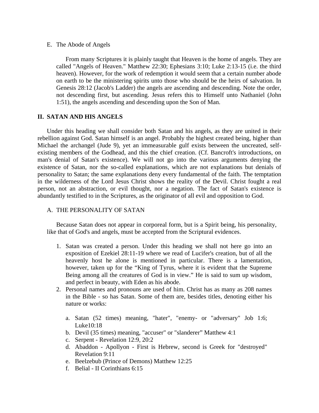### E. The Abode of Angels

From many Scriptures it is plainly taught that Heaven is the home of angels. They are called "Angels of Heaven." Matthew 22:30; Ephesians 3:10; Luke 2:13-15 (i.e. the third heaven). However, for the work of redemption it would seem that a certain number abode on earth to be the ministering spirits unto those who should be the heirs of salvation. In Genesis 28:12 (Jacob's Ladder) the angels are ascending and descending. Note the order, not descending first, but ascending. Jesus refers this to Himself unto Nathaniel (John 1:51), the angels ascending and descending upon the Son of Man.

### **II. SATAN AND HIS ANGELS**

Under this heading we shall consider both Satan and his angels, as they are united in their rebellion against God. Satan himself is an angel. Probably the highest created being, higher than Michael the archangel (Jude 9), yet an immeasurable gulf exists between the uncreated, selfexisting members of the Godhead, and this the chief creation. (Cf. Bancroft's introductions, on man's denial of Satan's existence). We will not go into the various arguments denying the existence of Satan, nor the so-called explanations, which are not explanations but denials of personality to Satan; the same explanations deny every fundamental of the faith. The temptation in the wilderness of the Lord Jesus Christ shows the reality of the Devil. Christ fought a real person, not an abstraction, or evil thought, nor a negation. The fact of Satan's existence is abundantly testified to in the Scriptures, as the originator of all evil and opposition to God.

## A. THE PERSONALITY OF SATAN

 Because Satan does not appear in corporeal form, but is a Spirit being, his personality, like that of God's and angels, must be accepted from the Scriptural evidences.

- 1. Satan was created a person. Under this heading we shall not here go into an exposition of Ezekiel 28:11-19 where we read of Lucifer's creation, but of all the heavenly host he alone is mentioned in particular. There is a lamentation, however, taken up for the "King of Tyrus, where it is evident that the Supreme Being among all the creatures of God is in view." He is said to sum up wisdom, and perfect in beauty, with Eden as his abode.
- 2. Personal names and pronouns are used of him. Christ has as many as 208 names in the Bible - so has Satan. Some of them are, besides titles, denoting either his nature or works:
	- a. Satan (52 times) meaning, "hater", "enemy- or "adversary" Job 1:6; Luke10:18
	- b. Devil (35 times) meaning, "accuser" or "slanderer" Matthew 4:1
	- c. Serpent Revelation 12:9, 20:2
	- d. Abaddon Apollyon First is Hebrew, second is Greek for "destroyed" Revelation 9:11
	- e. Beelzebub (Prince of Demons) Matthew 12:25
	- f. Belial II Corinthians 6:15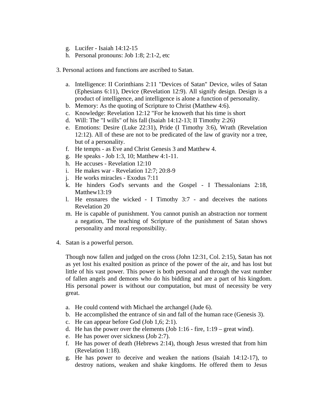- g. Lucifer Isaiah 14:12-15
- h. Personal pronouns: Job 1:8; 2:1-2, etc

### 3. Personal actions and functions are ascribed to Satan.

- a. Intelligence: II Corinthians 2:11 "Devices of Satan" Device, wiles of Satan (Ephesians 6:11), Device (Revelation 12:9). All signify design. Design is a product of intelligence, and intelligence is alone a function of personality.
- b. Memory: As the quoting of Scripture to Christ (Matthew 4:6).
- c. Knowledge: Revelation 12:12 "For he knoweth that his time is short
- d. Will: The "I wills" of his fall (Isaiah 14:12-13; II Timothy 2:26)
- e. Emotions: Desire (Luke 22:31), Pride (I Timothy 3:6), Wrath (Revelation 12:12). All of these are not to be predicated of the law of gravity nor a tree, but of a personality.
- f. He tempts as Eve and Christ Genesis 3 and Matthew 4.
- g. He speaks Job 1:3, 10; Matthew 4:1-11.
- h. He accuses Revelation 12:10
- i. He makes war Revelation 12:7; 20:8-9
- j. He works miracles Exodus 7:11
- k. He hinders God's servants and the Gospel I Thessalonians 2:18, Matthew13:19
- l. He ensnares the wicked I Timothy 3:7 and deceives the nations Revelation 20
- m. He is capable of punishment. You cannot punish an abstraction nor torment a negation, The teaching of Scripture of the punishment of Satan shows personality and moral responsibility.
- 4. Satan is a powerful person.

 Though now fallen and judged on the cross (John 12:31, Col. 2:15), Satan has not as yet lost his exalted position as prince of the power of the air, and has lost but little of his vast power. This power is both personal and through the vast number of fallen angels and demons who do his bidding and are a part of his kingdom. His personal power is without our computation, but must of necessity be very great.

- a. He could contend with Michael the archangel (Jude 6).
- b. He accomplished the entrance of sin and fall of the human race (Genesis 3).
- c. He can appear before God (Job 1,6; 2:1).
- d. He has the power over the elements (Job 1:16 fire,  $1:19$  great wind).
- e. He has power over sickness (Job 2:7).
- f. He has power of death (Hebrews 2:14), though Jesus wrested that from him (Revelation 1:18).
- g. He has power to deceive and weaken the nations (Isaiah 14:12-17), to destroy nations, weaken and shake kingdoms. He offered them to Jesus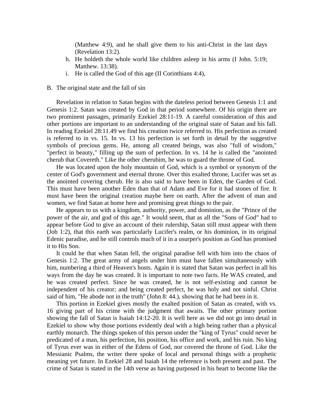(Matthew 4:9), and he shall give them to his anti-Christ in the last days (Revelation 13:2).

- h. He holdeth the whole world like children asleep in his arms (I John. 5:19; Matthew. 13:38).
- i. He is called the God of this age (II Corinthians 4:4),

#### B. The original state and the fall of sin

 Revelation in relation to Satan begins with the dateless period between Genesis 1:1 and Genesis 1:2. Satan was created by God in that period somewhere. Of his origin there are two prominent passages, primarily Ezekiel 28:11-19. A careful consideration of this and other portions are important to an understanding of the original state of Satan and his fall. In reading Ezekiel 28:11.49 we find his creation twice referred to. His perfection as created is referred to in vs. 15. In vs. 13 his perfection is set forth in detail by the suggestive symbols of precious gems. He, among all created beings, was also "full of wisdom," "perfect in beauty," filling up the sum of perfection. In vs. 14 he is called the "anointed cherub that Covereth." Like the other cherubim, he was to guard the throne of God.

 He was located upon the holy mountain of God, which is a symbol or synonym of the center of God's government and eternal throne. Over this exalted throne, Lucifer was set as the anointed covering cherub. He is also said to have been in Eden, the Garden of God. This must have been another Eden than that of Adam and Eve for it had stones of fire. It must have been the original creation maybe here on earth. After the advent of man and women, we find Satan at home here and promising great things to the pair.

 He appears to us with a kingdom, authority, power, and dominion, as the "Prince of the power of the air, and god of this age." It would seem, that as all the "Sons of God" had to appear before God to give an account of their rulership, Satan still must appear with them (Job 1:2), that this earth was particularly Lucifer's realm, or his dominion, in its original Edenic paradise, and he still controls much of it in a usurper's position as God has promised it to His Son.

 It could he that when Satan fell, the original paradise fell with him into the chaos of Genesis 1:2. The great army of angels under him must have fallen simultaneously with him, numbering a third of Heaven's hosts. Again it is stated that Satan was perfect in all his ways from the day he was created. It is important to note two facts. He WAS created, and he was created perfect. Since he was created, he is not self-existing and cannot be independent of his creator; and being created perfect, he was holy and not sinful. Christ said of him, "He abode not in the truth" (John 8: 44.), showing that he had been in it.

 This portion in Ezekiel gives mostly the exalted position of Satan as created, with vs. 16 giving part of his crime with the judgment that awaits. The other primary portion showing the fall of Satan is Isaiah 14:12-20. It is well here as we did not go into detail in Ezekiel to show why those portions evidently deal with a high being rather than a physical earthly monarch. The things spoken of this person under the "king of Tyrus" could never be predicated of a man, his perfection, his position, his office and work, and his ruin. No king of Tyrus ever was in either of the Edens of God, nor covered the throne of God. Like the Messianic Psalms, the writer there spoke of local and personal things with a prophetic meaning yet future. In Ezekiel 28 and Isaiah 14 the reference is both present and past. The crime of Satan is stated in the 14th verse as having purposed in his heart to become like the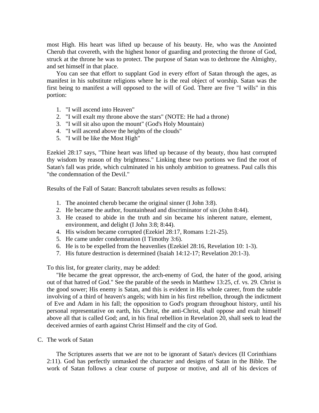most High. His heart was lifted up because of his beauty. He, who was the Anointed Cherub that covereth, with the highest honor of guarding and protecting the throne of God, struck at the throne he was to protect. The purpose of Satan was to dethrone the Almighty, and set himself in that place.

 You can see that effort to supplant God in every effort of Satan through the ages, as manifest in his substitute religions where he is the real object of worship. Satan was the first being to manifest a will opposed to the will of God. There are five "I wills" in this portion:

- 1. "I will ascend into Heaven"
- 2. "I will exalt my throne above the stars" (NOTE: He had a throne)
- 3. "I will sit also upon the mount" (God's Holy Mountain)
- 4. "I will ascend above the heights of the clouds"
- 5. "I will be like the Most High"

Ezekiel 28:17 says, "Thine heart was lifted up because of thy beauty, thou hast corrupted thy wisdom by reason of thy brightness." Linking these two portions we find the root of Satan's fall was pride, which culminated in his unholy ambition to greatness. Paul calls this "the condemnation of the Devil."

Results of the Fall of Satan: Bancroft tabulates seven results as follows:

- 1. The anointed cherub became the original sinner (I John 3:8).
- 2. He became the author, fountainhead and discriminator of sin (John 8:44).
- 3. He ceased to abide in the truth and sin became his inherent nature, element, environment, and delight (I John 3:8; 8:44).
- 4. His wisdom became corrupted (Ezekiel 28:17, Romans 1:21-25).
- 5. He came under condemnation (I Timothy 3:6).
- 6. He is to be expelled from the heavenlies (Ezekiel 28:16, Revelation 10: 1-3).
- 7. His future destruction is determined (Isaiah 14:12-17; Revelation 20:1-3).

To this list, for greater clarity, may be added:

 "He became the great oppressor, the arch-enemy of God, the hater of the good, arising out of that hatred of God." See the parable of the seeds in Matthew 13:25, cf. vs. 29. Christ is the good sower; His enemy is Satan, and this is evident in His whole career, from the subtle involving of a third of heaven's angels; with him in his first rebellion, through the indictment of Eve and Adam in his fall; the opposition to God's program throughout history, until his personal representative on earth, his Christ, the anti-Christ, shall oppose and exalt himself above all that is called God; and, in his final rebellion in Revelation 20, shall seek to lead the deceived armies of earth against Christ Himself and the city of God.

C. The work of Satan

 The Scriptures asserts that we are not to be ignorant of Satan's devices (II Corinthians 2:11). God has perfectly unmasked the character and designs of Satan in the Bible. The work of Satan follows a clear course of purpose or motive, and all of his devices of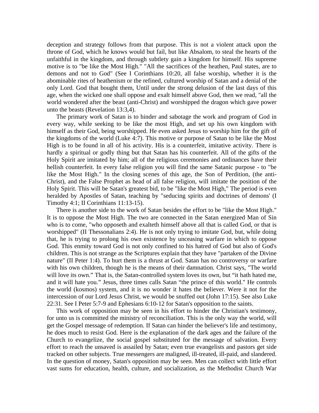deception and strategy follows from that purpose. This is not a violent attack upon the throne of God, which he knows would but fail, but like Absalom, to steal the hearts of the unfaithful in the kingdom, and through subtlety gain a kingdom for himself. His supreme motive is to "be like the Most High." "All the sacrifices of the heathen, Paul states, are to demons and not to God" (See I Corinthians 10:20, all false worship, whether it is the abominable rites of heathenism or the refined, cultured worship of Satan and a denial of the only Lord. God that bought them, Until under the strong delusion of the last days of this age, when the wicked one shall oppose and exalt himself above God, then we read, "all the world wondered after the beast (anti-Christ) and worshipped the dragon which gave power unto the beasts (Revelation 13:3,4).

 The primary work of Satan is to hinder and sabotage the work and program of God in every way, while seeking to be like the most High, and set up his own kingdom with himself as their God, being worshipped. He even asked Jesus to worship him for the gift of the kingdoms of the world (Luke 4:7). This motive or purpose of Satan to be like the Most High is to be found in all of his activity. His is a counterfeit, imitative activity. There is hardly a spiritual or godly thing but that Satan has his counterfeit. All of the gifts of the Holy Spirit are imitated by him; all of the religious ceremonies and ordinances have their hellish counterfeit. In every false religion you will find the same Satanic purpose - to "be like the Most High." In the closing scenes of this age, the Son of Perdition, (the anti-Christ), and the False Prophet as head of all false religion, will imitate the position of the Holy Spirit. This will be Satan's greatest bid, to be "like the Most High," The period is even heralded by Apostles of Satan, teaching by "seducing spirits and doctrines of demons' (I Timothy 4:1; II Corinthians 11:13-15).

 There is another side to the work of Satan besides the effort to be "like the Most High." It is to oppose the Most High. The two are connected in the Satan energized Man of Sin who is to come, "who opposeth and exalteth himself above all that is called God, or that is worshipped" (II Thessonalians 2:4). He is not only trying to imitate God, but, while doing that, he is trying to prolong his own existence by unceasing warfare in which to oppose God. This enmity toward God is not only confined to his hatred of God but also of God's children. This is not strange as the Scriptures explain that they have "partaken of the Divine nature" (II Peter 1:4). To hurt them is a thrust at God. Satan has no controversy or warfare with his own children, though he is the means of their damnation. Christ says, "The world will love its own." That is, the Satan-controlled system loves its own, but "it hath hated me, and it will hate you." Jesus, three times calls Satan "the prince of this world." He controls the world (kosmos) system, and it is no wonder it hates the believer. Were it not for the intercession of our Lord Jesus Christ, we would be snuffed out (John 17:15). See also Luke 22:31. See I Peter 5:7-9 and Ephesians 6:10-12 for Satan's opposition to the saints.

 This work of opposition may be seen in his effort to hinder the Christian's testimony, for unto us is committed the ministry of reconciliation. This is the only way the world, will get the Gospel message of redemption. If Satan can hinder the believer's life and testimony, he does much to resist God. Here is the explanation of the dark ages and the failure of the Church to evangelize, the social gospel substituted for the message of salvation. Every effort to reach the unsaved is assailed by Satan; even true evangelists and pastors get side tracked on other subjects. True messengers are maligned, ill-treated, ill-paid, and slandered. In the question of money, Satan's opposition may be seen. Men can collect with little effort vast sums for education, health, culture, and socialization, as the Methodist Church War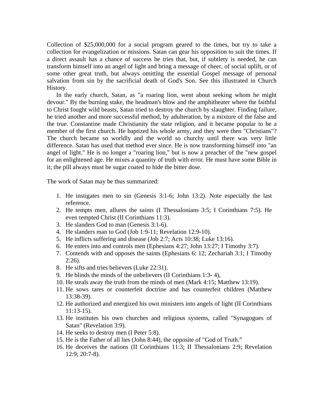Collection of \$25,000,000 for a social program geared to the times, but try to take a collection for evangelization or missions. Satan can gear his opposition to suit the times. If a direct assault has a chance of success he tries that, but, if subtlety is needed, he can transform himself into an angel of light and bring a message of cheer, of social uplift, or of some other great truth, but always omitting the essential Gospel message of personal salvation from sin by the sacrificial death of God's Son. See this illustrated in Church History.

 In the early church, Satan, as "a roaring lion, went about seeking whom he might devour." By the burning stake, the headman's blow and the amphitheater where the faithful to Christ fought wild beasts, Satan tried to destroy the church by slaughter. Finding failure, he tried another and more successful method, by adulteration, by a mixture of the false and the true. Constantine made Christianity the state religion, and it became popular to be a member of the first church. He baptized his whole army, and they were then "Christians"? The church became so worldly and the world so churchy until there was very little difference. Satan has used that method ever since. He is now transforming himself into "an angel of light." He is no longer a "roaring lion," but is now a preacher of the "new gospel for an enlightened age. He mixes a quantity of truth with error. He must have some Bible in it; the pill always must be sugar coated to hide the bitter dose.

The work of Satan may be thus summarized:

- 1. He instigates men to sin (Genesis 3:1-6; John 13:2). Note especially the last reference.
- 2. He tempts men, allures the saints (I Thessalonians 3:5; I Corinthians 7:5). He even tempted Christ (II Corinthians 11:3).
- 3. He slanders God to man (Genesis 3:1-6).
- 4. He slanders man to God (Job 1:9-11; Revelation 12:9-10).
- 5. He inflicts suffering and disease (Job 2:7; Acts 10:38; Luke 13:16).
- 6. He enters into and controls men (Ephesians 4:27; John 13:27; I Timothy 3:7).
- 7. Contends with and opposes the saints (Ephesians 6: 12; Zechariah 3:1; I Timothy 2:26).
- 8. He sifts and tries believers (Luke 22:31).
- 9. He blinds the minds of the unbelievers (II Corinthians 1:3- 4),
- 10. He steals away the truth from the minds of men (Mark 4:15; Matthew 13:19).
- 11. He sows tares or counterfeit doctrine and has counterfeit children (Matthew 13:38-39).
- 12. He authorized and energized his own ministers into angels of light (II Corinthians 11:13-15).
- 13. He institutes his own churches and religious systems, called "Synagogues of Satan" (Revelation 3:9).
- 14. He seeks to destroy men (I Peter 5:8).
- 15. He is the Father of all lies (John 8:44), the opposite of "God of Truth."
- 16. He deceives the nations (II Corinthians 11:3; II Thessalonians 2:9; Revelation 12:9; 20:7-8).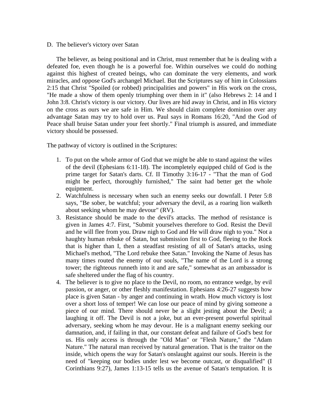#### D. The believer's victory over Satan

 The believer, as being positional and in Christ, must remember that he is dealing with a defeated foe, even though he is a powerful foe. Within ourselves we could do nothing against this highest of created beings, who can dominate the very elements, and work miracles, and oppose God's archangel Michael. But the Scriptures say of him in Colossians 2:15 that Christ "Spoiled (or robbed) principalities and powers" in His work on the cross, "He made a show of them openly triumphing over them in it" (also Hebrews 2: 14 and I John 3:8. Christ's victory is our victory. Our lives are hid away in Christ, and in His victory on the cross as ours we are safe in Him. We should claim complete dominion over any advantage Satan may try to hold over us. Paul says in Romans 16:20, "And the God of Peace shall bruise Satan under your feet shortly." Final triumph is assured, and immediate victory should be possessed.

The pathway of victory is outlined in the Scriptures:

- 1. To put on the whole armor of God that we might be able to stand against the wiles of the devil (Ephesians 6:11-18). The incompletely equipped child of God is the prime target for Satan's darts. Cf. II Timothy 3:16-17 - "That the man of God might be perfect, thoroughly furnished," The saint had better get the whole equipment.
- 2. Watchfulness is necessary when such an enemy seeks our downfall. I Peter 5:8 says, "Be sober, be watchful; your adversary the devil, as a roaring lion walketh about seeking whom he may devour" (RV).
- 3. Resistance should be made to the devil's attacks. The method of resistance is given in James 4:7. First, "Submit yourselves therefore to God. Resist the Devil and he will flee from you. Draw nigh to God and He will draw nigh to you." Not a haughty human rebuke of Satan, but submission first to God, fleeing to the Rock that is higher than I, then a steadfast resisting of all of Satan's attacks, using Michael's method, "The Lord rebuke thee Satan." Invoking the Name of Jesus has many times routed the enemy of our souls, "The name of the Lord is a strong tower; the righteous runneth into it and are safe," somewhat as an ambassador is safe sheltered under the flag of his country.
- 4. The believer is to give no place to the Devil, no room, no entrance wedge, by evil passion, or anger, or other fleshly manifestation. Ephesians 4:26-27 suggests how place is given Satan - by anger and continuing in wrath. How much victory is lost over a short loss of temper! We can lose our peace of mind by giving someone a piece of our mind. There should never be a slight jesting about the Devil; a laughing it off. The Devil is not a joke, but an ever-present powerful spiritual adversary, seeking whom he may devour. He is a malignant enemy seeking our damnation, and, if failing in that, our constant defeat and failure of God's best for us. His only access is through the "Old Man" or "Flesh Nature," the "Adam Nature." The natural man received by natural generation. That is the traitor on the inside, which opens the way for Satan's onslaught against our souls. Herein is the need of "keeping our bodies under lest we become outcast, or disqualified" (I Corinthians 9:27), James 1:13-15 tells us the avenue of Satan's temptation. It is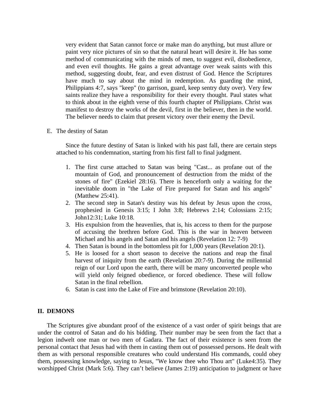very evident that Satan cannot force or make man do anything, but must allure or paint very nice pictures of sin so that the natural heart will desire it. He has some method of communicating with the minds of men, to suggest evil, disobedience, and even evil thoughts. He gains a great advantage over weak saints with this method, suggesting doubt, fear, and even distrust of God. Hence the Scriptures have much to say about the mind in redemption. As guarding the mind, Philippians 4:7, says "keep" (to garrison, guard, keep sentry duty over). Very few saints realize they have a responsibility for their every thought. Paul states what to think about in the eighth verse of this fourth chapter of Philippians. Christ was manifest to destroy the works of the devil, first in the believer, then in the world. The believer needs to claim that present victory over their enemy the Devil.

E. The destiny of Satan

 Since the future destiny of Satan is linked with his past fall, there are certain steps attached to his condemnation, starting from his first fall to final judgment.

- 1. The first curse attached to Satan was being "Cast... as profane out of the mountain of God, and pronouncement of destruction from the midst of the stones of fire" (Ezekiel 28:16). There is henceforth only a waiting for the inevitable doom in "the Lake of Fire prepared for Satan and his angels" (Matthew 25:41).
- 2. The second step in Satan's destiny was his defeat by Jesus upon the cross, prophesied in Genesis 3:15; I John 3:8; Hebrews 2:14; Colossians 2:15; John12:31; Luke 10:18.
- 3. His expulsion from the heavenlies, that is, his access to them for the purpose of accusing the brethren before God. This is the war in heaven between Michael and his angels and Satan and his angels (Revelation 12: 7-9)
- 4. Then Satan is bound in the bottomless pit for 1,000 years (Revelation 20:1).
- 5. He is loosed for a short season to deceive the nations and reap the final harvest of iniquity from the earth (Revelation 20:7-9). During the millennial reign of our Lord upon the earth, there will be many unconverted people who will yield only feigned obedience, or forced obedience. These will follow Satan in the final rebellion.
- 6. Satan is cast into the Lake of Fire and brimstone (Revelation 20:10).

### **II. DEMONS**

 The Scriptures give abundant proof of the existence of a vast order of spirit beings that are under the control of Satan and do his bidding. Their number may be seen from the fact that a legion indwelt one man or two men of Gadara. The fact of their existence is seen from the personal contact that Jesus had with them in casting them out of possessed persons. He dealt with them as with personal responsible creatures who could understand His commands, could obey them, possessing knowledge, saying to Jesus, "We know thee who Thou art" (Luke4:35). They worshipped Christ (Mark 5:6). They can't believe (James 2:19) anticipation to judgment or have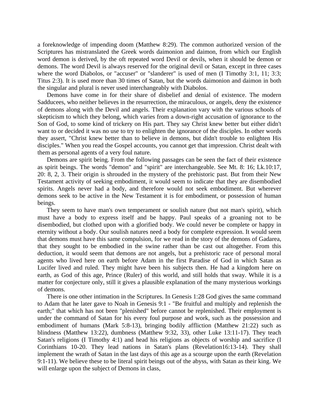a foreknowledge of impending doom (Matthew 8:29). The common authorized version of the Scriptures has mistranslated the Greek words daimonion and daimon, from which our English word demon is derived, by the oft repeated word Devil or devils, when it should be demon or demons. The word Devil is always reserved for the original devil or Satan, except in three cases where the word Diabolos, or "accuser" or "slanderer" is used of men (I Timothy 3:1, 11; 3:3; Titus 2:3). It is used more than 30 times of Satan, but the words daimonion and daimon in both the singular and plural is never used interchangeably with Diabolos.

 Demons have come in for their share of disbelief and denial of existence. The modern Sadducees, who neither believes in the resurrection, the miraculous, or angels, deny the existence of demons along with the Devil and angels. Their explanation vary with the various schools of skepticism to which they belong, which varies from a down-right accusation of ignorance to the Son of God, to some kind of trickery on His part. They say Christ knew better but either didn't want to or decided it was no use to try to enlighten the ignorance of the disciples. In other words they assert, "Christ knew better than to believe in demons, but didn't trouble to enlighten His disciples." When you read the Gospel accounts, you cannot get that impression. Christ dealt with them as personal agents of a very foul nature.

 Demons are spirit being. From the following passages can be seen the fact of their existence as spirit beings. The words "demon" and "spirit" are interchangeable. See Mt. 8: 16; Lk.10:17, 20: 8, 2, 3. Their origin is shrouded in the mystery of the prehistoric past. But from their New Testament activity of seeking embodiment, it would seem to indicate that they are disembodied spirits. Angels never had a body, and therefore would not seek embodiment. But wherever demons seek to be active in the New Testament it is for embodiment, or possession of human beings.

 They seem to have man's own temperament or soulish nature (but not man's spirit), which must have a body to express itself and be happy. Paul speaks of a groaning not to be disembodied, but clothed upon with a glorified body. We could never be complete or happy in eternity without a body. Our soulish natures need a body for complete expression. It would seem that demons must have this same compulsion, for we read in the story of the demons of Gadarea, that they sought to be embodied in the swine rather than be cast out altogether. From this deduction, it would seem that demons are not angels, but a prehistoric race of personal moral agents who lived here on earth before Adam in the first Paradise of God in which Satan as Lucifer lived and ruled. They might have been his subjects then. He had a kingdom here on earth, as God of this age, Prince (Ruler) of this world, and still holds that sway. While it is a matter for conjecture only, still it gives a plausible explanation of the many mysterious workings of demons.

 There is one other intimation in the Scriptures. In Genesis 1:28 God gives the same command to Adam that he later gave to Noah in Genesis 9:1 - "Be fruitful and multiply and replenish the earth;" that which has not been "plenished" before cannot be replenished. Their employment is under the command of Satan for his every foul purpose and work, such as the possession and embodiment of humans (Mark 5:8-13), bringing bodily affliction (Matthew 21:22) such as blindness (Matthew 13:22), dumbness (Matthew 9:32, 33), other Luke 13:11-17). They teach Satan's religions (I Timothy 4:1) and head his religions as objects of worship and sacrifice (I Corinthians 10-20. They lead nations in Satan's plans (Revelation16:13-14). They shall implement the wrath of Satan in the last days of this age as a scourge upon the earth (Revelation 9:1-11). We believe these to be literal spirit beings out of the abyss, with Satan as their king. We will enlarge upon the subject of Demons in class,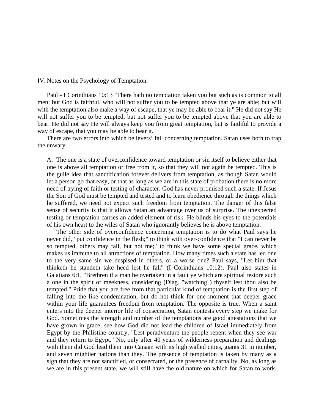IV. Notes on the Psychology of Temptation.

 Paul - I Corinthians 10:13 "There hath no temptation taken you but such as is common to all men; but God is faithful, who will not suffer you to be tempted above that ye are able; but will with the temptation also make a way of escape, that ye may be able to bear it." He did not say He will not suffer you to be tempted, but not suffer you to be tempted above that you are able to bear. He did not say He will always keep you from great temptation, but is faithful to provide a way of escape, that you may be able to bear it.

 There are two errors into which believers' fall concerning temptation. Satan uses both to trap the unwary.

A. The one is a state of overconfidence toward temptation or sin itself to believe either that one is above all temptation or free from it, so that they will not again be tempted. This is the guile idea that sanctification forever delivers from temptation, as though Satan would let a person go that easy, or that as long as we are in this state of probation there is no more need of trying of faith or testing of character. God has never promised such a state. If Jesus the Son of God must be tempted and tested and to learn obedience through the things which he suffered, we need not expect such freedom from temptation. The danger of this false sense of security is that it allows Satan an advantage over us of surprise. The unexpected testing or temptation carries an added element of risk. He blinds his eyes to the potentials of his own heart to the wiles of Satan who ignorantly believes he is above temptation.

 The other side of overconfidence concerning temptation is to do what Paul says he never did, "put confidence in the flesh;" to think with over-confidence that "I can never be so tempted, others may fall, but not me;" to think we have some special grace, which makes us immune to all attractions of temptation. How many times such a state has led one to the very same sin we despised in others, or a worse one? Paul says, "Let him that thinketh he standeth take heed lest he fall" (I Corinthians 10:12). Paul also states in Galatians 6:1, "Brethren if a man be overtaken in a fault ye which are spiritual restore such a one in the spirit of meekness, considering (Diag. "watching") thyself lest thou also be tempted." Pride that you are free from that particular kind of temptation is the first step of falling into the like condemnation, but do not think for one moment that deeper grace within your life guarantees freedom from temptation. The opposite is true. When a saint enters into the deeper interior life of consecration, Satan contests every step we make for God. Sometimes the strength and number of the temptations are good attestations that we have grown in grace; see how God did not lead the children of Israel immediately from Egypt by the Philistine country, "Lest peradventure the people repent when they see war and they return to Egypt." No, only after 40 years of wilderness preparation and dealings with them did God lead them into Canaan with its high walled cities, giants 31 in number, and seven mightier nations than they. The presence of temptation is taken by many as a sign that they are not sanctified, or consecrated, or the presence of carnality. No, as long as we are in this present state, we will still have the old nature on which for Satan to work,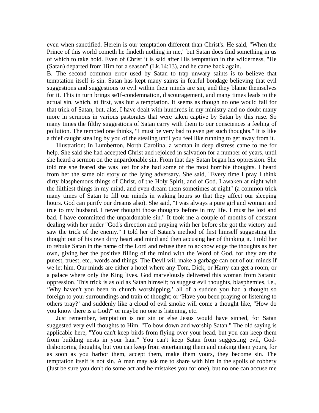even when sanctified. Herein is our temptation different than Christ's. He said, "When the Prince of this world cometh he findeth nothing in me," but Satan does find something in us of which to take hold. Even of Christ it is said after His temptation in the wilderness, "He (Satan) departed from Him for a season" (Lk.14:13), and he came back again.

B. The second common error used by Satan to trap unwary saints is to believe that temptation itself is sin. Satan has kept many saints in fearful bondage believing that evil suggestions and suggestions to evil within their minds are sin, and they blame themselves for it. This in turn brings se1f-condemnation, discouragement, and many times leads to the actual sin, which, at first, was but a temptation. It seems as though no one would fall for that trick of Satan, but, alas, I have dealt with hundreds in my ministry and no doubt many more in sermons in various pastorates that were taken captive by Satan by this ruse. So many times the filthy suggestions of Satan carry with them to our consciences a feeling of pollution. The tempted one thinks, "I must be very bad to even get such thoughts." It is like a thief caught stealing by you of the stealing until you feel like running to get away from it.

 Illustration: In Lumberton, North Carolina, a woman in deep distress came to me for help. She said she had accepted Christ and rejoiced in salvation for a number of years, until she heard a sermon on the unpardonable sin. From that day Satan began his oppression. She told me she feared she was lost for she had some of the most horrible thoughts. I heard from her the same old story of the lying adversary. She said, "Every time I pray I think dirty blasphemous things of Christ, of the Holy Spirit, and of God. I awaken at night with the filthiest things in my mind, and even dream them sometimes at night" (a common trick many times of Satan to fill our minds in waking hours so that they affect our sleeping hours. God can purify our dreams also). She said, "I was always a pure girl and woman and true to my husband. I never thought those thoughts before in my life. I must be lost and bad. I have committed the unpardonable sin." It took me a couple of months of constant dealing with her under "God's direction and praying with her before she got the victory and saw the trick of the enemy." I told her of Satan's method of first himself suggesting the thought out of his own dirty heart and mind and then accusing her of thinking it. I told her to rebuke Satan in the name of the Lord and refuse then to acknowledge the thoughts as her own, giving her the positive filling of the mind with the Word of God, for they are the purest, truest, etc., words and things. The Devil will make a garbage can out of our minds if we let him. Our minds are either a hotel where any Tom, Dick, or Harry can get a room, or a palace where only the King lives. God marvelously delivered this woman from Satanic oppression. This trick is as old as Satan himself; to suggest evil thoughts, blasphemies, i.e., 'Why haven't you been in church worshipping,' all of a sudden you had a thought so foreign to your surroundings and train of thought; or 'Have you been praying or listening to others pray?' and suddenly like a cloud of evil smoke will come a thought like, "How do you know there is a God?" or maybe no one is listening, etc.

 Just remember, temptation is not sin or else Jesus would have sinned, for Satan suggested very evil thoughts to Him. "To bow down and worship Satan." The old saying is applicable here, "You can't keep birds from flying over your head, but you can keep them from building nests in your hair." You can't keep Satan from suggesting evil, Goddishonoring thoughts, but you can keep from entertaining them and making them yours, for as soon as you harbor them, accept them, make them yours, they become sin. The temptation itself is not sin. A man may ask me to share with him in the spoils of robbery (Just be sure you don't do some act and he mistakes you for one), but no one can accuse me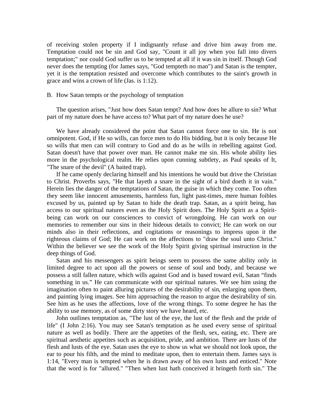of receiving stolen property if I indignantly refuse and drive him away from me. Temptation could not be sin and God say, "Count it all joy when you fall into divers temptation;" nor could God suffer us to be tempted at all if it was sin in itself. Though God never does the tempting (for James says, "God tempteth no man") and Satan is the tempter, yet it is the temptation resisted and overcome which contributes to the saint's growth in grace and wins a crown of life (Jas. is 1:12).

#### B. How Satan tempts or the psychology of temptation

 The question arises, "Just how does Satan tempt? And how does he allure to sin? What part of my nature does he have access to? What part of my nature does he use?

 We have already considered the point that Satan cannot force one to sin. He is not omnipotent. God, if He so wills, can force men to do His bidding, but it is only because He so wills that men can will contrary to God and do as he wills in rebelling against God. Satan doesn't have that power over man. He cannot make me sin. His whole ability lies more in the psychological realm. He relies upon cunning subtlety, as Paul speaks of It, "The snare of the devil" (A baited trap).

 If he came openly declaring himself and his intentions he would but drive the Christian to Christ. Proverbs says, "He that layeth a snare in the sight of a bird doeth it in vain." Herein lies the danger of the temptations of Satan, the guise in which they come. Too often they seem like innocent amusements, harmless fun, light past-times, mere human foibles excused by us, painted up by Satan to hide the death trap. Satan, as a spirit being, has access to our spiritual natures even as the Holy Spirit does. The Holy Spirit as a Spiritbeing can work on our consciences to convict of wrongdoing. He can work on our memories to remember our sins in their hideous details to convict; He can work on our minds also in their reflections, and cogitations or reasonings to impress upon it the righteous claims of God; He can work on the affections to "draw the soul unto Christ." Within the believer we see the work of the Holy Spirit giving spiritual instruction in the deep things of God.

 Satan and his messengers as spirit beings seem to possess the same ability only in limited degree to act upon all the powers or sense of soul and body, and because we possess a still fallen nature, which wills against God and is based toward evil, Satan "finds something in us." He can communicate with our spiritual natures. We see him using the imagination often to paint alluring pictures of the desirability of sin, enlarging upon them, and painting lying images. See him approaching the reason to argue the desirability of sin. See him as he uses the affections, love of the wrong things. To some degree he has the ability to use memory, as of some dirty story we have heard, etc.

 John outlines temptation as, "The lust of the eye, the lust of the flesh and the pride of life" (I John 2:16). You may see Satan's temptation as he used every sense of spiritual nature as well as bodily. There are the appetites of the flesh, sex, eating, etc. There are spiritual aesthetic appetites such as acquisition, pride, and ambition. There are lusts of the flesh and lusts of the eye. Satan uses the eye to show us what we should not look upon, the ear to pour his filth, and the mind to meditate upon, then to entertain them. James says is 1:14, "Every man is tempted when he is drawn away of his own lusts and enticed." Note that the word is for "allured." "Then when lust hath conceived it bringeth forth sin." The